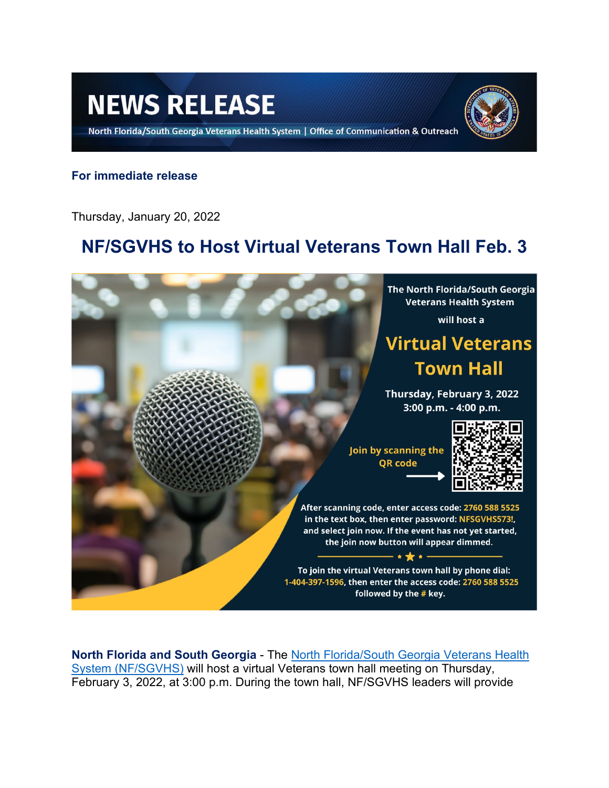# **NEWS RELEASE**

North Florida/South Georgia Veterans Health System | Office of Communication & Outreach



### **For immediate release**

Thursday, January 20, 2022

## **NF/SGVHS to Host Virtual Veterans Town Hall Feb. 3**



**North Florida and South Georgia** - The [North Florida/South Georgia Veterans Health](https://www.va.gov/north-florida-health-care/)  [System \(NF/SGVHS\)](https://www.va.gov/north-florida-health-care/) will host a virtual Veterans town hall meeting on Thursday, February 3, 2022, at 3:00 p.m. During the town hall, NF/SGVHS leaders will provide